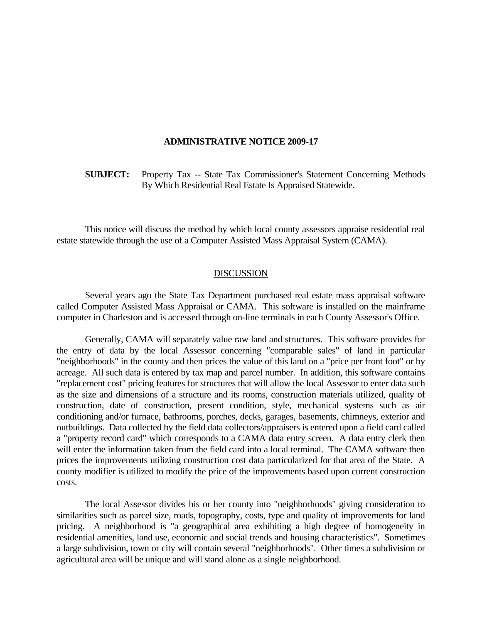## **ADMINISTRATIVE NOTICE 2009-17**

 **SUBJECT:** Property Tax -- State Tax Commissioner's Statement Concerning Methods By Which Residential Real Estate Is Appraised Statewide.

 This notice will discuss the method by which local county assessors appraise residential real estate statewide through the use of a Computer Assisted Mass Appraisal System (CAMA).

## DISCUSSION

 Several years ago the State Tax Department purchased real estate mass appraisal software called Computer Assisted Mass Appraisal or CAMA. This software is installed on the mainframe computer in Charleston and is accessed through on-line terminals in each County Assessor's Office.

 Generally, CAMA will separately value raw land and structures. This software provides for the entry of data by the local Assessor concerning "comparable sales" of land in particular "neighborhoods" in the county and then prices the value of this land on a "price per front foot" or by acreage. All such data is entered by tax map and parcel number. In addition, this software contains "replacement cost" pricing features for structures that will allow the local Assessor to enter data such as the size and dimensions of a structure and its rooms, construction materials utilized, quality of construction, date of construction, present condition, style, mechanical systems such as air conditioning and/or furnace, bathrooms, porches, decks, garages, basements, chimneys, exterior and outbuildings. Data collected by the field data collectors/appraisers is entered upon a field card called a "property record card" which corresponds to a CAMA data entry screen. A data entry clerk then will enter the information taken from the field card into a local terminal. The CAMA software then prices the improvements utilizing construction cost data particularized for that area of the State. A county modifier is utilized to modify the price of the improvements based upon current construction costs.

 The local Assessor divides his or her county into "neighborhoods" giving consideration to similarities such as parcel size, roads, topography, costs, type and quality of improvements for land pricing. A neighborhood is "a geographical area exhibiting a high degree of homogeneity in residential amenities, land use, economic and social trends and housing characteristics". Sometimes a large subdivision, town or city will contain several "neighborhoods". Other times a subdivision or agricultural area will be unique and will stand alone as a single neighborhood.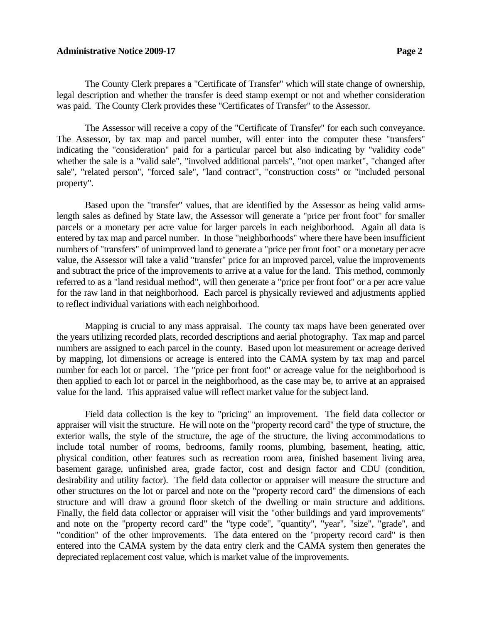## **Administrative Notice 2009-17 Page 2**

 The County Clerk prepares a "Certificate of Transfer" which will state change of ownership, legal description and whether the transfer is deed stamp exempt or not and whether consideration was paid. The County Clerk provides these "Certificates of Transfer" to the Assessor.

 The Assessor will receive a copy of the "Certificate of Transfer" for each such conveyance. The Assessor, by tax map and parcel number, will enter into the computer these "transfers" indicating the "consideration" paid for a particular parcel but also indicating by "validity code" whether the sale is a "valid sale", "involved additional parcels", "not open market", "changed after sale", "related person", "forced sale", "land contract", "construction costs" or "included personal property".

 Based upon the "transfer" values, that are identified by the Assessor as being valid armslength sales as defined by State law, the Assessor will generate a "price per front foot" for smaller parcels or a monetary per acre value for larger parcels in each neighborhood. Again all data is entered by tax map and parcel number. In those "neighborhoods" where there have been insufficient numbers of "transfers" of unimproved land to generate a "price per front foot" or a monetary per acre value, the Assessor will take a valid "transfer" price for an improved parcel, value the improvements and subtract the price of the improvements to arrive at a value for the land. This method, commonly referred to as a "land residual method", will then generate a "price per front foot" or a per acre value for the raw land in that neighborhood. Each parcel is physically reviewed and adjustments applied to reflect individual variations with each neighborhood.

 Mapping is crucial to any mass appraisal. The county tax maps have been generated over the years utilizing recorded plats, recorded descriptions and aerial photography. Tax map and parcel numbers are assigned to each parcel in the county. Based upon lot measurement or acreage derived by mapping, lot dimensions or acreage is entered into the CAMA system by tax map and parcel number for each lot or parcel. The "price per front foot" or acreage value for the neighborhood is then applied to each lot or parcel in the neighborhood, as the case may be, to arrive at an appraised value for the land. This appraised value will reflect market value for the subject land.

 Field data collection is the key to "pricing" an improvement. The field data collector or appraiser will visit the structure. He will note on the "property record card" the type of structure, the exterior walls, the style of the structure, the age of the structure, the living accommodations to include total number of rooms, bedrooms, family rooms, plumbing, basement, heating, attic, physical condition, other features such as recreation room area, finished basement living area, basement garage, unfinished area, grade factor, cost and design factor and CDU (condition, desirability and utility factor). The field data collector or appraiser will measure the structure and other structures on the lot or parcel and note on the "property record card" the dimensions of each structure and will draw a ground floor sketch of the dwelling or main structure and additions. Finally, the field data collector or appraiser will visit the "other buildings and yard improvements" and note on the "property record card" the "type code", "quantity", "year", "size", "grade", and "condition" of the other improvements. The data entered on the "property record card" is then entered into the CAMA system by the data entry clerk and the CAMA system then generates the depreciated replacement cost value, which is market value of the improvements.